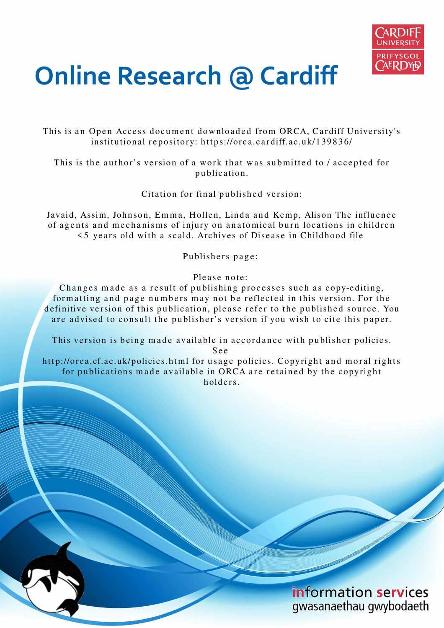

# **Online Research @ Cardiff**

This is an Open Access document downloaded from ORCA, Cardiff University's institutional repository: https://orca.cardiff.ac.uk/139836/

This is the author's version of a work that was submitted to / accepted for p u blication.

Citation for final published version:

Javaid, Assim, Johnson, Emma, Hollen, Linda and Kemp, Alison The influence of agents and mechanisms of injury on anatomical burn locations in children  $\leq$  5 years old with a scald. Archives of Disease in Childhood file

Publishers page:

Please note:

Changes made as a result of publishing processes such as copy-editing, for matting and page numbers may not be reflected in this version. For the definitive version of this publication, please refer to the published source. You are advised to consult the publisher's version if you wish to cite this paper.

This version is being made available in accordance with publisher policies.

S e e

http://orca.cf.ac.uk/policies.html for usage policies. Copyright and moral rights for publications made available in ORCA are retained by the copyright holders

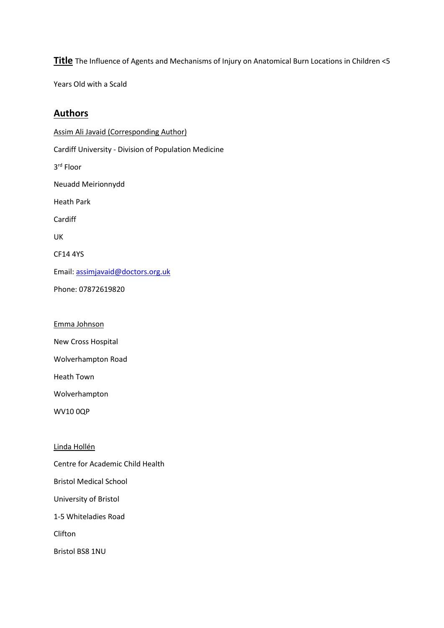**Title** The Influence of Agents and Mechanisms of Injury on Anatomical Burn Locations in Children <5

Years Old with a Scald

# **Authors**

Assim Ali Javaid (Corresponding Author) Cardiff University - Division of Population Medicine 3 rd Floor Neuadd Meirionnydd Heath Park Cardiff UK CF14 4YS Email: [assimjavaid@doctors.org.uk](mailto:assimjavaid@doctors.org.uk) Phone: 07872619820

Emma Johnson

New Cross Hospital

Wolverhampton Road

Heath Town

Wolverhampton

WV10 0QP

Linda Hollén

Centre for Academic Child Health

Bristol Medical School

University of Bristol

1-5 Whiteladies Road

Clifton

Bristol BS8 1NU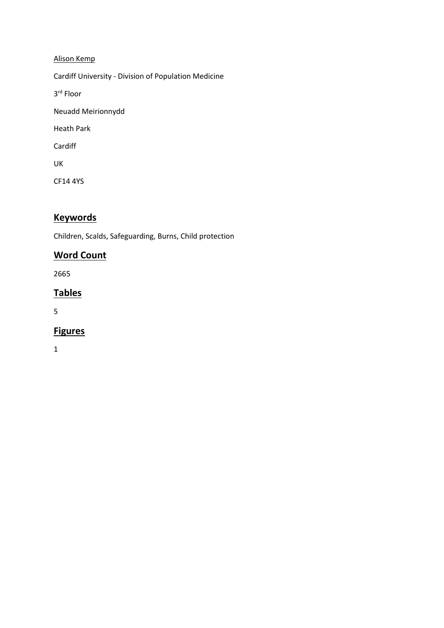## Alison Kemp

Cardiff University - Division of Population Medicine

3 rd Floor

Neuadd Meirionnydd

Heath Park

Cardiff

UK

CF14 4YS

# **Keywords**

Children, Scalds, Safeguarding, Burns, Child protection

# **Word Count**

2665

# **Tables**

5

# **Figures**

1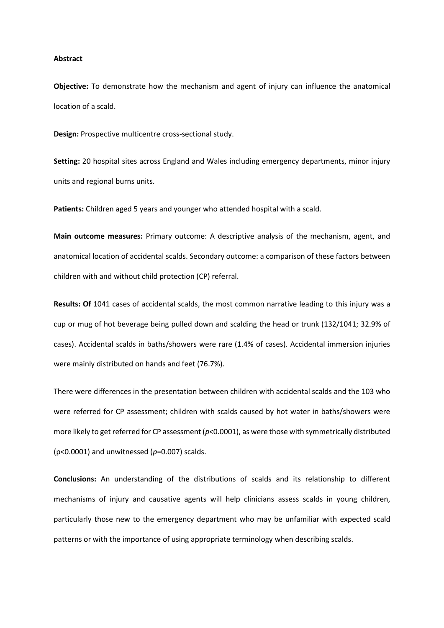#### **Abstract**

**Objective:** To demonstrate how the mechanism and agent of injury can influence the anatomical location of a scald.

**Design:** Prospective multicentre cross-sectional study.

**Setting:** 20 hospital sites across England and Wales including emergency departments, minor injury units and regional burns units.

**Patients:** Children aged 5 years and younger who attended hospital with a scald.

**Main outcome measures:** Primary outcome: A descriptive analysis of the mechanism, agent, and anatomical location of accidental scalds. Secondary outcome: a comparison of these factors between children with and without child protection (CP) referral.

**Results: Of** 1041 cases of accidental scalds, the most common narrative leading to this injury was a cup or mug of hot beverage being pulled down and scalding the head or trunk (132/1041; 32.9% of cases). Accidental scalds in baths/showers were rare (1.4% of cases). Accidental immersion injuries were mainly distributed on hands and feet (76.7%).

There were differences in the presentation between children with accidental scalds and the 103 who were referred for CP assessment; children with scalds caused by hot water in baths/showers were more likely to get referred for CP assessment (*p*<0.0001), as were those with symmetrically distributed (p<0.0001) and unwitnessed (*p*=0.007) scalds.

**Conclusions:** An understanding of the distributions of scalds and its relationship to different mechanisms of injury and causative agents will help clinicians assess scalds in young children, particularly those new to the emergency department who may be unfamiliar with expected scald patterns or with the importance of using appropriate terminology when describing scalds.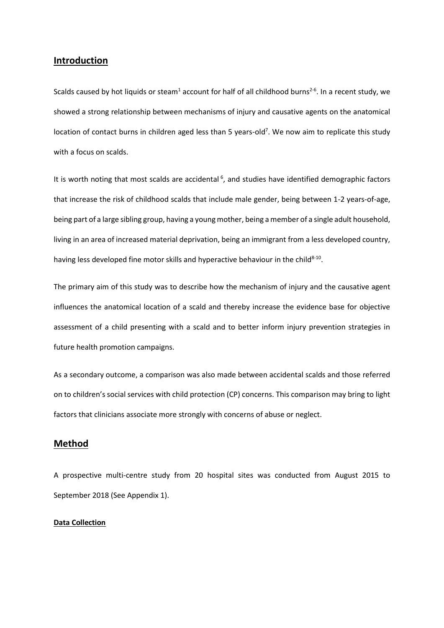## **Introduction**

Scalds caused by hot liquids or steam<sup>1</sup> account for half of all childhood burns<sup>2-6</sup>. In a recent study, we showed a strong relationship between mechanisms of injury and causative agents on the anatomical location of contact burns in children aged less than 5 years-old<sup>7</sup>. We now aim to replicate this study with a focus on scalds.

It is worth noting that most scalds are accidental<sup>6</sup>, and studies have identified demographic factors that increase the risk of childhood scalds that include male gender, being between 1-2 years-of-age, being part of a large sibling group, having a young mother, being a member of a single adult household, living in an area of increased material deprivation, being an immigrant from a less developed country, having less developed fine motor skills and hyperactive behaviour in the child $8-10$ .

The primary aim of this study was to describe how the mechanism of injury and the causative agent influences the anatomical location of a scald and thereby increase the evidence base for objective assessment of a child presenting with a scald and to better inform injury prevention strategies in future health promotion campaigns.

As a secondary outcome, a comparison was also made between accidental scalds and those referred on to children's social services with child protection (CP) concerns. This comparison may bring to light factors that clinicians associate more strongly with concerns of abuse or neglect.

## **Method**

A prospective multi-centre study from 20 hospital sites was conducted from August 2015 to September 2018 (See Appendix 1).

#### **Data Collection**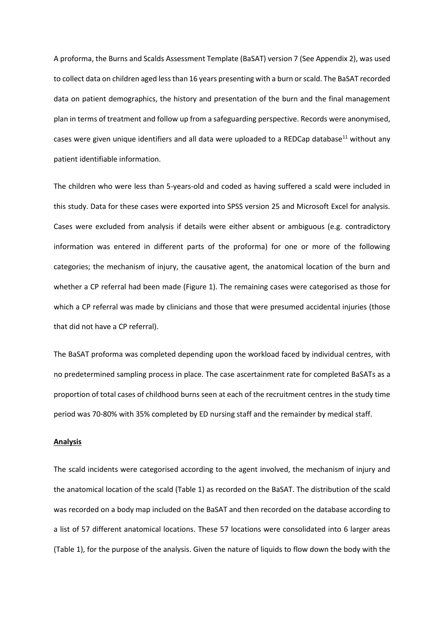A proforma, the Burns and Scalds Assessment Template (BaSAT) version 7 (See Appendix 2), was used to collect data on children aged less than 16 years presenting with a burn or scald. The BaSAT recorded data on patient demographics, the history and presentation of the burn and the final management plan in terms of treatment and follow up from a safeguarding perspective. Records were anonymised, cases were given unique identifiers and all data were uploaded to a REDCap database<sup>11</sup> without any patient identifiable information.

The children who were less than 5-years-old and coded as having suffered a scald were included in this study. Data for these cases were exported into SPSS version 25 and Microsoft Excel for analysis. Cases were excluded from analysis if details were either absent or ambiguous (e.g. contradictory information was entered in different parts of the proforma) for one or more of the following categories; the mechanism of injury, the causative agent, the anatomical location of the burn and whether a CP referral had been made (Figure 1). The remaining cases were categorised as those for which a CP referral was made by clinicians and those that were presumed accidental injuries (those that did not have a CP referral).

The BaSAT proforma was completed depending upon the workload faced by individual centres, with no predetermined sampling process in place. The case ascertainment rate for completed BaSATs as a proportion of total cases of childhood burns seen at each of the recruitment centres in the study time period was 70-80% with 35% completed by ED nursing staff and the remainder by medical staff.

#### **Analysis**

The scald incidents were categorised according to the agent involved, the mechanism of injury and the anatomical location of the scald (Table 1) as recorded on the BaSAT. The distribution of the scald was recorded on a body map included on the BaSAT and then recorded on the database according to a list of 57 different anatomical locations. These 57 locations were consolidated into 6 larger areas (Table 1), for the purpose of the analysis. Given the nature of liquids to flow down the body with the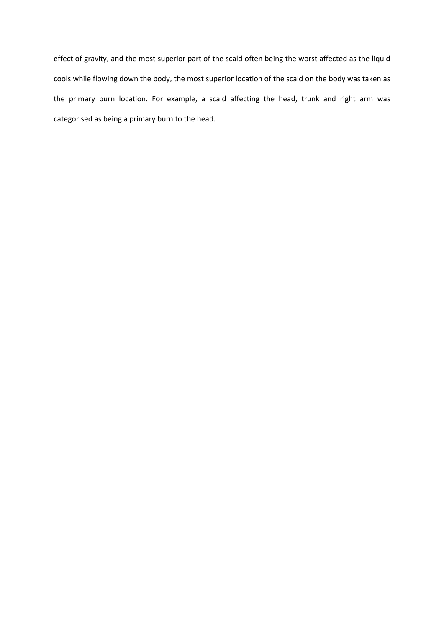effect of gravity, and the most superior part of the scald often being the worst affected as the liquid cools while flowing down the body, the most superior location of the scald on the body was taken as the primary burn location. For example, a scald affecting the head, trunk and right arm was categorised as being a primary burn to the head.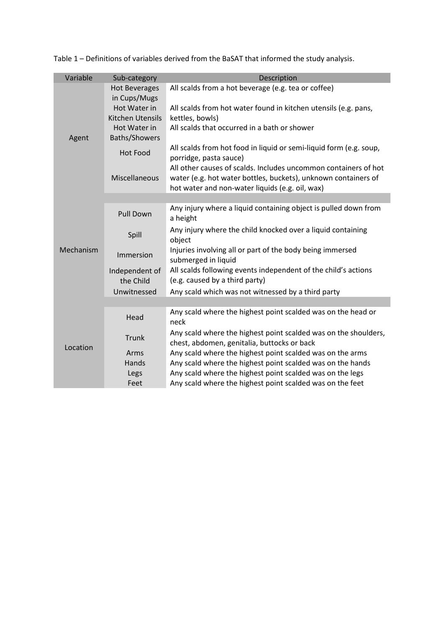| Variable  | Sub-category                         | Description                                                                                                                                                                          |  |  |  |  |
|-----------|--------------------------------------|--------------------------------------------------------------------------------------------------------------------------------------------------------------------------------------|--|--|--|--|
| Agent     | <b>Hot Beverages</b><br>in Cups/Mugs | All scalds from a hot beverage (e.g. tea or coffee)                                                                                                                                  |  |  |  |  |
|           | Hot Water in<br>Kitchen Utensils     | All scalds from hot water found in kitchen utensils (e.g. pans,<br>kettles, bowls)                                                                                                   |  |  |  |  |
|           | Hot Water in<br>Baths/Showers        | All scalds that occurred in a bath or shower                                                                                                                                         |  |  |  |  |
|           | <b>Hot Food</b>                      | All scalds from hot food in liquid or semi-liquid form (e.g. soup,<br>porridge, pasta sauce)                                                                                         |  |  |  |  |
|           | Miscellaneous                        | All other causes of scalds. Includes uncommon containers of hot<br>water (e.g. hot water bottles, buckets), unknown containers of<br>hot water and non-water liquids (e.g. oil, wax) |  |  |  |  |
|           |                                      |                                                                                                                                                                                      |  |  |  |  |
| Mechanism | <b>Pull Down</b>                     | Any injury where a liquid containing object is pulled down from<br>a height                                                                                                          |  |  |  |  |
|           | Spill                                | Any injury where the child knocked over a liquid containing<br>object                                                                                                                |  |  |  |  |
|           | Immersion                            | Injuries involving all or part of the body being immersed<br>submerged in liquid                                                                                                     |  |  |  |  |
|           | Independent of<br>the Child          | All scalds following events independent of the child's actions<br>(e.g. caused by a third party)                                                                                     |  |  |  |  |
|           | Unwitnessed                          | Any scald which was not witnessed by a third party                                                                                                                                   |  |  |  |  |
|           |                                      |                                                                                                                                                                                      |  |  |  |  |
| Location  | Head                                 | Any scald where the highest point scalded was on the head or<br>neck                                                                                                                 |  |  |  |  |
|           | <b>Trunk</b>                         | Any scald where the highest point scalded was on the shoulders,<br>chest, abdomen, genitalia, buttocks or back                                                                       |  |  |  |  |
|           | Arms                                 | Any scald where the highest point scalded was on the arms                                                                                                                            |  |  |  |  |
|           | Hands                                | Any scald where the highest point scalded was on the hands                                                                                                                           |  |  |  |  |
|           | Legs                                 | Any scald where the highest point scalded was on the legs                                                                                                                            |  |  |  |  |
|           | Feet                                 | Any scald where the highest point scalded was on the feet                                                                                                                            |  |  |  |  |

Table 1 – Definitions of variables derived from the BaSAT that informed the study analysis.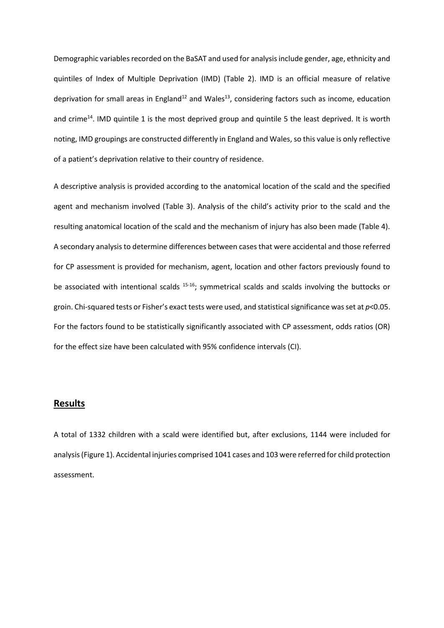Demographic variables recorded on the BaSAT and used for analysis include gender, age, ethnicity and quintiles of Index of Multiple Deprivation (IMD) (Table 2). IMD is an official measure of relative deprivation for small areas in England<sup>12</sup> and Wales<sup>13</sup>, considering factors such as income, education and crime<sup>14</sup>. IMD quintile 1 is the most deprived group and quintile 5 the least deprived. It is worth noting, IMD groupings are constructed differently in England and Wales, so this value is only reflective of a patient's deprivation relative to their country of residence.

A descriptive analysis is provided according to the anatomical location of the scald and the specified agent and mechanism involved (Table 3). Analysis of the child's activity prior to the scald and the resulting anatomical location of the scald and the mechanism of injury has also been made (Table 4). A secondary analysis to determine differences between cases that were accidental and those referred for CP assessment is provided for mechanism, agent, location and other factors previously found to be associated with intentional scalds <sup>15-16</sup>; symmetrical scalds and scalds involving the buttocks or groin. Chi-squared tests or Fisher's exact tests were used, and statistical significance was set at *p*<0.05. For the factors found to be statistically significantly associated with CP assessment, odds ratios (OR) for the effect size have been calculated with 95% confidence intervals (CI).

## **Results**

A total of 1332 children with a scald were identified but, after exclusions, 1144 were included for analysis (Figure 1). Accidental injuries comprised 1041 cases and 103 were referred for child protection assessment.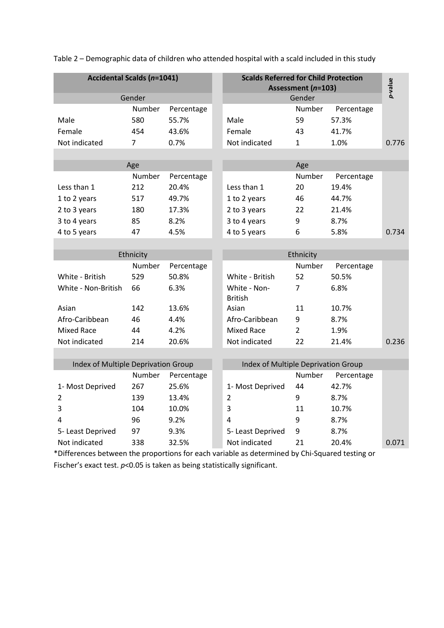| <b>Accidental Scalds (n=1041)</b>   |        |            |  | <b>Scalds Referred for Child Protection</b><br>Assessment (n=103) |                |            |         |  |
|-------------------------------------|--------|------------|--|-------------------------------------------------------------------|----------------|------------|---------|--|
| Gender                              |        |            |  |                                                                   | Gender         |            | p-value |  |
|                                     | Number | Percentage |  |                                                                   | Number         | Percentage |         |  |
| Male                                | 580    | 55.7%      |  | Male                                                              | 59             | 57.3%      |         |  |
| Female                              | 454    | 43.6%      |  | Female                                                            | 43             | 41.7%      |         |  |
| Not indicated                       | 7      | 0.7%       |  | Not indicated                                                     | $\mathbf{1}$   | 1.0%       | 0.776   |  |
|                                     |        |            |  |                                                                   |                |            |         |  |
|                                     | Age    |            |  |                                                                   | Age            |            |         |  |
|                                     | Number | Percentage |  |                                                                   | Number         | Percentage |         |  |
| Less than 1                         | 212    | 20.4%      |  | Less than 1                                                       | 20             | 19.4%      |         |  |
| 1 to 2 years                        | 517    | 49.7%      |  | 1 to 2 years                                                      | 46             | 44.7%      |         |  |
| 2 to 3 years                        | 180    | 17.3%      |  | 2 to 3 years                                                      | 22             | 21.4%      |         |  |
| 3 to 4 years                        | 85     | 8.2%       |  | 3 to 4 years                                                      | 9              | 8.7%       |         |  |
| 4 to 5 years                        | 47     | 4.5%       |  | 4 to 5 years                                                      | 6              | 5.8%       | 0.734   |  |
|                                     |        |            |  |                                                                   |                |            |         |  |
| Ethnicity                           |        |            |  | Ethnicity                                                         |                |            |         |  |
|                                     | Number | Percentage |  |                                                                   | Number         | Percentage |         |  |
| White - British                     | 529    | 50.8%      |  | White - British                                                   | 52             | 50.5%      |         |  |
| White - Non-British                 | 66     | 6.3%       |  | White - Non-<br><b>British</b>                                    | 7              | 6.8%       |         |  |
| Asian                               | 142    | 13.6%      |  | Asian                                                             | 11             | 10.7%      |         |  |
| Afro-Caribbean                      | 46     | 4.4%       |  | Afro-Caribbean                                                    | 9              | 8.7%       |         |  |
| <b>Mixed Race</b>                   | 44     | 4.2%       |  | <b>Mixed Race</b>                                                 | $\overline{2}$ | 1.9%       |         |  |
| Not indicated                       | 214    | 20.6%      |  | Not indicated                                                     | 22             | 21.4%      | 0.236   |  |
|                                     |        |            |  |                                                                   |                |            |         |  |
| Index of Multiple Deprivation Group |        |            |  | Index of Multiple Deprivation Group                               |                |            |         |  |
|                                     | Number | Percentage |  |                                                                   | Number         | Percentage |         |  |
| 1- Most Deprived                    | 267    | 25.6%      |  | 1- Most Deprived                                                  | 44             | 42.7%      |         |  |
| $\overline{2}$                      | 139    | 13.4%      |  | $\overline{2}$                                                    | 9              | 8.7%       |         |  |
| 3                                   | 104    | 10.0%      |  | 3                                                                 | 11             | 10.7%      |         |  |
| 4                                   | 96     | 9.2%       |  | 4                                                                 | 9              | 8.7%       |         |  |
| 5- Least Deprived                   | 97     | 9.3%       |  | 5- Least Deprived                                                 | 9              | 8.7%       |         |  |
| Not indicated                       | 338    | 32.5%      |  | Not indicated                                                     | 21             | 20.4%      | 0.071   |  |

Table 2 – Demographic data of children who attended hospital with a scald included in this study

\*Differences between the proportions for each variable as determined by Chi-Squared testing or Fischer's exact test.  $p$ <0.05 is taken as being statistically significant.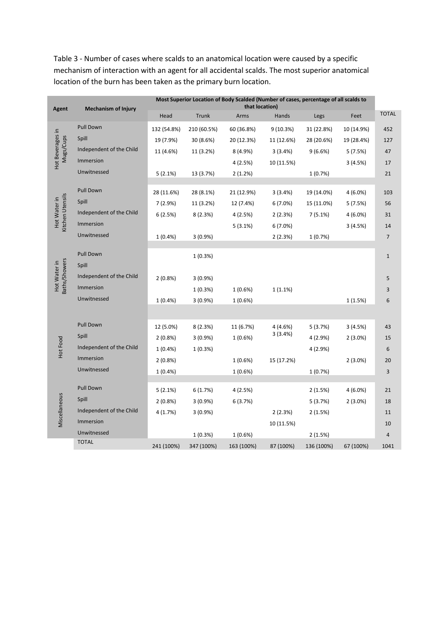Table 3 - Number of cases where scalds to an anatomical location were caused by a specific mechanism of interaction with an agent for all accidental scalds. The most superior anatomical location of the burn has been taken as the primary burn location.

| <b>Agent</b>                     | <b>Mechanism of Injury</b> | Most Superior Location of Body Scalded (Number of cases, percentage of all scalds to<br>that location) |             |            |            |            |            |                |
|----------------------------------|----------------------------|--------------------------------------------------------------------------------------------------------|-------------|------------|------------|------------|------------|----------------|
|                                  |                            | Head                                                                                                   | Trunk       | Arms       | Hands      | Legs       | Feet       | <b>TOTAL</b>   |
|                                  | Pull Down                  | 132 (54.8%)                                                                                            | 210 (60.5%) | 60 (36.8%) | 9(10.3%)   | 31 (22.8%) | 10 (14.9%) | 452            |
|                                  | Spill                      | 19 (7.9%)                                                                                              | 30 (8.6%)   | 20 (12.3%) | 11 (12.6%) | 28 (20.6%) | 19 (28.4%) | 127            |
| Hot Beverages in<br>Mugs/Cups    | Independent of the Child   | 11 (4.6%)                                                                                              | 11 (3.2%)   | 8 (4.9%)   | 3(3.4%)    | 9(6.6%)    | 5(7.5%)    | 47             |
|                                  | Immersion                  |                                                                                                        |             | 4(2.5%)    | 10 (11.5%) |            | 3(4.5%)    | 17             |
|                                  | Unwitnessed                | 5(2.1%)                                                                                                | 13 (3.7%)   | 2(1.2%)    |            | 1(0.7%)    |            | 21             |
|                                  | Pull Down                  | 28 (11.6%)                                                                                             | 28 (8.1%)   | 21 (12.9%) | 3(3.4%)    | 19 (14.0%) | $4(6.0\%)$ | 103            |
|                                  | Spill                      | 7(2.9%)                                                                                                | 11 (3.2%)   | 12 (7.4%)  | 6(7.0%)    | 15 (11.0%) | 5(7.5%)    | 56             |
| Kitchen Utensils<br>Hot Water in | Independent of the Child   | 6(2.5%)                                                                                                | 8(2.3%)     | 4(2.5%)    | 2(2.3%)    | 7(5.1%)    | $4(6.0\%)$ | 31             |
|                                  | Immersion                  |                                                                                                        |             | 5(3.1%)    | 6(7.0%)    |            | 3(4.5%)    | 14             |
|                                  | Unwitnessed                | $1(0.4\%)$                                                                                             | $3(0.9\%)$  |            | 2(2.3%)    | 1(0.7%)    |            | $\overline{7}$ |
|                                  |                            |                                                                                                        |             |            |            |            |            |                |
|                                  | Pull Down                  |                                                                                                        | 1(0.3%)     |            |            |            |            | $\mathbf 1$    |
|                                  | Spill                      |                                                                                                        |             |            |            |            |            |                |
| Baths/Showers<br>Hot Water in    | Independent of the Child   | $2(0.8\%)$                                                                                             | 3(0.9%      |            |            |            |            | 5              |
|                                  | Immersion                  |                                                                                                        | 1(0.3%)     | 1(0.6%)    | 1(1.1%)    |            |            | 3              |
|                                  | Unwitnessed                | 1(0.4%                                                                                                 | 3(0.9%)     | $1(0.6\%)$ |            |            | 1(1.5%)    | 6              |
|                                  |                            |                                                                                                        |             |            |            |            |            |                |
|                                  | Pull Down                  | 12 (5.0%)                                                                                              | 8(2.3%)     | 11 (6.7%)  | 4 (4.6%)   | 5(3.7%)    | 3(4.5%)    | 43             |
|                                  | Spill                      | $2(0.8\%)$                                                                                             | 3(0.9%      | $1(0.6\%)$ | 3(3.4%)    | 4(2.9%)    | $2(3.0\%)$ | 15             |
| Hot Food                         | Independent of the Child   | 1(0.4%                                                                                                 | 1(0.3%)     |            |            | 4 (2.9%)   |            | 6              |
|                                  | Immersion                  | $2(0.8\%)$                                                                                             |             | 1(0.6%)    | 15 (17.2%) |            | $2(3.0\%)$ | 20             |
|                                  | Unwitnessed                | $1(0.4\%)$                                                                                             |             | 1(0.6%)    |            | 1(0.7%)    |            | 3              |
|                                  | Pull Down                  |                                                                                                        |             |            |            |            |            |                |
|                                  | Spill                      | 5(2.1%)                                                                                                | 6(1.7%)     | 4(2.5%)    |            | 2(1.5%)    | $4(6.0\%)$ | 21             |
| Miscellaneous                    | Independent of the Child   | $2(0.8\%)$                                                                                             | 3(0.9%      | 6(3.7%)    |            | 5(3.7%)    | $2(3.0\%)$ | 18             |
|                                  | Immersion                  | 4(1.7%)                                                                                                | $3(0.9\%)$  |            | 2(2.3%)    | 2(1.5%)    |            | 11             |
|                                  | Unwitnessed                |                                                                                                        | 1(0.3%)     | 1(0.6%)    | 10 (11.5%) | 2(1.5%)    |            | 10<br>4        |
|                                  | <b>TOTAL</b>               | 241 (100%)                                                                                             | 347 (100%)  | 163 (100%) | 87 (100%)  | 136 (100%) | 67 (100%)  | 1041           |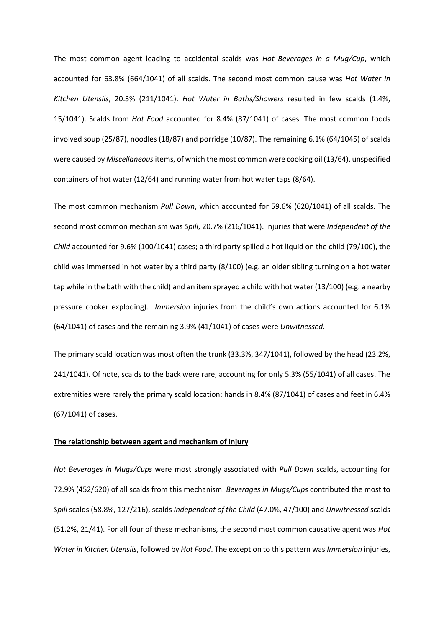The most common agent leading to accidental scalds was *Hot Beverages in a Mug/Cup*, which accounted for 63.8% (664/1041) of all scalds. The second most common cause was *Hot Water in Kitchen Utensils*, 20.3% (211/1041). *Hot Water in Baths/Showers* resulted in few scalds (1.4%, 15/1041). Scalds from *Hot Food* accounted for 8.4% (87/1041) of cases. The most common foods involved soup (25/87), noodles (18/87) and porridge (10/87). The remaining 6.1% (64/1045) of scalds were caused by *Miscellaneous* items, of which the most common were cooking oil (13/64), unspecified containers of hot water (12/64) and running water from hot water taps (8/64).

The most common mechanism *Pull Down*, which accounted for 59.6% (620/1041) of all scalds. The second most common mechanism was *Spill*, 20.7% (216/1041). Injuries that were *Independent of the Child* accounted for 9.6% (100/1041) cases; a third party spilled a hot liquid on the child (79/100), the child was immersed in hot water by a third party (8/100) (e.g. an older sibling turning on a hot water tap while in the bath with the child) and an item sprayed a child with hot water (13/100) (e.g. a nearby pressure cooker exploding). *Immersion* injuries from the child's own actions accounted for 6.1% (64/1041) of cases and the remaining 3.9% (41/1041) of cases were *Unwitnessed*.

The primary scald location was most often the trunk (33.3%, 347/1041), followed by the head (23.2%, 241/1041). Of note, scalds to the back were rare, accounting for only 5.3% (55/1041) of all cases. The extremities were rarely the primary scald location; hands in 8.4% (87/1041) of cases and feet in 6.4% (67/1041) of cases.

#### **The relationship between agent and mechanism of injury**

*Hot Beverages in Mugs/Cups* were most strongly associated with *Pull Down* scalds, accounting for 72.9% (452/620) of all scalds from this mechanism. *Beverages in Mugs/Cups* contributed the most to *Spill* scalds (58.8%, 127/216), scalds *Independent of the Child* (47.0%, 47/100) and *Unwitnessed* scalds (51.2%, 21/41). For all four of these mechanisms, the second most common causative agent was *Hot Water in Kitchen Utensils*, followed by *Hot Food*. The exception to this pattern was *Immersion* injuries,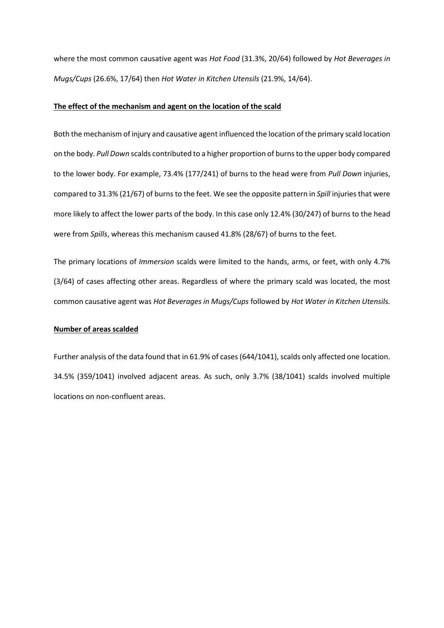where the most common causative agent was *Hot Food* (31.3%, 20/64) followed by *Hot Beverages in Mugs/Cups* (26.6%, 17/64) then *Hot Water in Kitchen Utensils* (21.9%, 14/64).

#### **The effect of the mechanism and agent on the location of the scald**

Both the mechanism of injury and causative agent influenced the location of the primary scald location on the body. *Pull Down* scalds contributed to a higher proportion of burns to the upper body compared to the lower body. For example, 73.4% (177/241) of burns to the head were from *Pull Down* injuries, compared to 31.3% (21/67) of burns to the feet. We see the opposite pattern in *Spill* injuries that were more likely to affect the lower parts of the body. In this case only 12.4% (30/247) of burns to the head were from *Spills*, whereas this mechanism caused 41.8% (28/67) of burns to the feet.

The primary locations of *Immersion* scalds were limited to the hands, arms, or feet, with only 4.7% (3/64) of cases affecting other areas. Regardless of where the primary scald was located, the most common causative agent was *Hot Beverages in Mugs/Cups* followed by *Hot Water in Kitchen Utensils.* 

#### **Number of areas scalded**

Further analysis of the data found that in 61.9% of cases (644/1041), scalds only affected one location. 34.5% (359/1041) involved adjacent areas. As such, only 3.7% (38/1041) scalds involved multiple locations on non-confluent areas.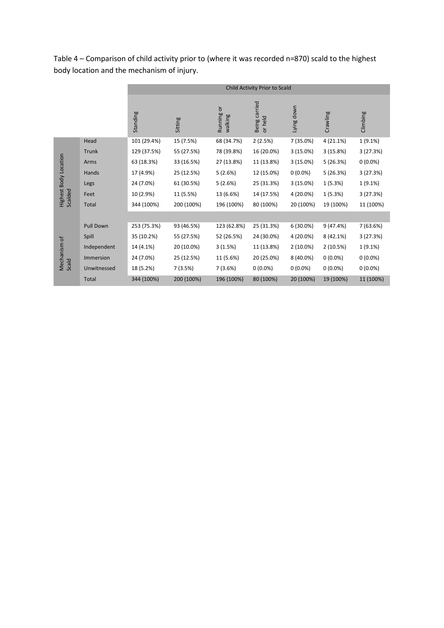|                                  |                  | Child Activity Prior to Scald |            |                         |                          |             |            |            |
|----------------------------------|------------------|-------------------------------|------------|-------------------------|--------------------------|-------------|------------|------------|
|                                  |                  | Standing                      | Sitting    | ŏ<br>Running<br>walking | Being carried<br>or held | Lying down  | Crawling   | Climbing   |
|                                  | Head             | 101 (29.4%)                   | 15 (7.5%)  | 68 (34.7%)              | 2(2.5%)                  | 7 (35.0%)   | 4 (21.1%)  | 1 (9.1%)   |
|                                  | Trunk            | 129 (37.5%)                   | 55 (27.5%) | 78 (39.8%)              | 16 (20.0%)               | 3(15.0%)    | 3(15.8%)   | 3(27.3%)   |
|                                  | Arms             | 63 (18.3%)                    | 33 (16.5%) | 27 (13.8%)              | 11 (13.8%)               | 3(15.0%)    | 5(26.3%)   | $0(0.0\%)$ |
| Highest Body Location<br>Scalded | Hands            | 17 (4.9%)                     | 25 (12.5%) | 5(2.6%)                 | 12 (15.0%)               | $0(0.0\%)$  | 5(26.3%)   | 3(27.3%)   |
|                                  | Legs             | 24 (7.0%)                     | 61 (30.5%) | 5(2.6%)                 | 25 (31.3%)               | 3(15.0%)    | 1(5.3%)    | 1 (9.1%)   |
|                                  | Feet             | 10 (2.9%)                     | 11 (5.5%)  | 13 (6.6%)               | 14 (17.5%)               | 4 (20.0%)   | 1(5.3%)    | 3(27.3%)   |
|                                  | <b>Total</b>     | 344 (100%)                    | 200 (100%) | 196 (100%)              | 80 (100%)                | 20 (100%)   | 19 (100%)  | 11 (100%)  |
|                                  |                  |                               |            |                         |                          |             |            |            |
| Mechanism of<br>Scald            | <b>Pull Down</b> | 253 (75.3%)                   | 93 (46.5%) | 123 (62.8%)             | 25 (31.3%)               | $6(30.0\%)$ | 9(47.4%)   | 7 (63.6%)  |
|                                  | Spill            | 35 (10.2%)                    | 55 (27.5%) | 52 (26.5%)              | 24 (30.0%)               | 4 (20.0%)   | 8 (42.1%)  | 3(27.3%)   |
|                                  | Independent      | 14 (4.1%)                     | 20 (10.0%) | 3(1.5%)                 | 11 (13.8%)               | 2 (10.0%)   | 2(10.5%)   | 1 (9.1%)   |
|                                  | Immersion        | 24 (7.0%)                     | 25 (12.5%) | 11 (5.6%)               | 20 (25.0%)               | 8 (40.0%)   | $0(0.0\%)$ | $0(0.0\%)$ |
|                                  | Unwitnessed      | 18 (5.2%)                     | 7(3.5%)    | 7(3.6%)                 | $0(0.0\%)$               | $0(0.0\%)$  | $0(0.0\%)$ | $0(0.0\%)$ |
|                                  | <b>Total</b>     | 344 (100%)                    | 200 (100%) | 196 (100%)              | 80 (100%)                | 20 (100%)   | 19 (100%)  | 11 (100%)  |

Table 4 – Comparison of child activity prior to (where it was recorded n=870) scald to the highest body location and the mechanism of injury.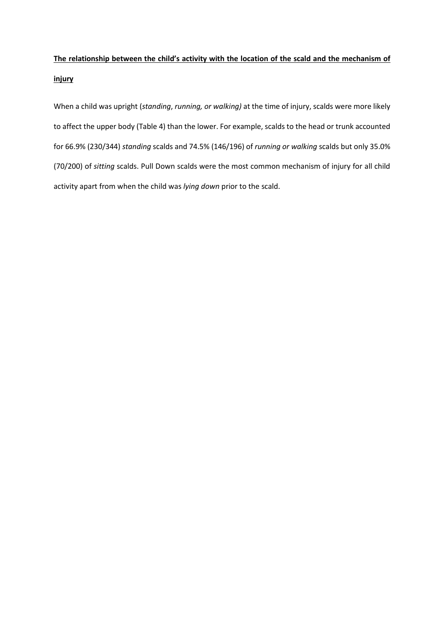# **The relationship between the child's activity with the location of the scald and the mechanism of injury**

When a child was upright (*standing*, *running, or walking)* at the time of injury, scalds were more likely to affect the upper body (Table 4) than the lower. For example, scalds to the head or trunk accounted for 66.9% (230/344) *standing* scalds and 74.5% (146/196) of *running or walking* scalds but only 35.0% (70/200) of *sitting* scalds. Pull Down scalds were the most common mechanism of injury for all child activity apart from when the child was *lying down* prior to the scald.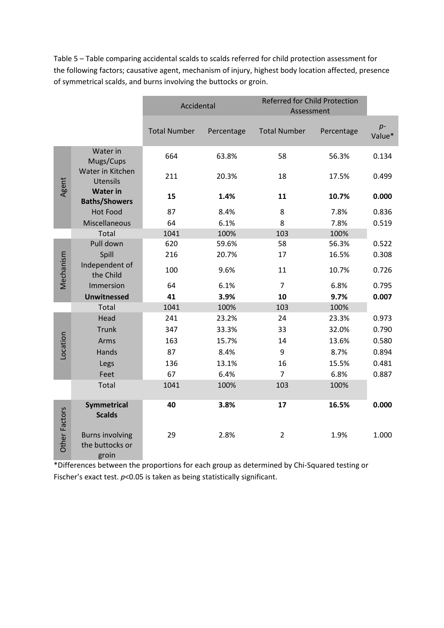Table 5 – Table comparing accidental scalds to scalds referred for child protection assessment for the following factors; causative agent, mechanism of injury, highest body location affected, presence of symmetrical scalds, and burns involving the buttocks or groin.

|                      |                                                    | Accidental          |            | <b>Referred for Child Protection</b><br>Assessment |            |                |
|----------------------|----------------------------------------------------|---------------------|------------|----------------------------------------------------|------------|----------------|
|                      |                                                    | <b>Total Number</b> | Percentage | <b>Total Number</b>                                | Percentage | $p-$<br>Value* |
|                      | Water in<br>Mugs/Cups                              | 664                 | 63.8%      | 58                                                 | 56.3%      | 0.134          |
| Agent                | Water in Kitchen<br><b>Utensils</b>                | 211                 | 20.3%      | 18                                                 | 17.5%      | 0.499          |
|                      | <b>Water in</b><br><b>Baths/Showers</b>            | 15                  | 1.4%       | 11                                                 | 10.7%      | 0.000          |
|                      | <b>Hot Food</b>                                    | 87                  | 8.4%       | 8                                                  | 7.8%       | 0.836          |
|                      | Miscellaneous                                      | 64                  | 6.1%       | 8                                                  | 7.8%       | 0.519          |
|                      | Total                                              | 1041                | 100%       | 103                                                | 100%       |                |
|                      | Pull down                                          | 620                 | 59.6%      | 58                                                 | 56.3%      | 0.522          |
| Mechanism            | Spill                                              | 216                 | 20.7%      | 17                                                 | 16.5%      | 0.308          |
|                      | Independent of<br>the Child                        | 100                 | 9.6%       | 11                                                 | 10.7%      | 0.726          |
|                      | Immersion                                          | 64                  | 6.1%       | $\overline{7}$                                     | 6.8%       | 0.795          |
|                      | <b>Unwitnessed</b>                                 | 41                  | 3.9%       | 10                                                 | 9.7%       | 0.007          |
|                      | Total                                              | 1041                | 100%       | 103                                                | 100%       |                |
|                      | Head                                               | 241                 | 23.2%      | 24                                                 | 23.3%      | 0.973          |
|                      | <b>Trunk</b>                                       | 347                 | 33.3%      | 33                                                 | 32.0%      | 0.790          |
|                      | Arms                                               | 163                 | 15.7%      | 14                                                 | 13.6%      | 0.580          |
| Location             | Hands                                              | 87                  | 8.4%       | 9                                                  | 8.7%       | 0.894          |
|                      | Legs                                               | 136                 | 13.1%      | 16                                                 | 15.5%      | 0.481          |
|                      | Feet                                               | 67                  | 6.4%       | $\overline{7}$                                     | 6.8%       | 0.887          |
|                      | Total                                              | 1041                | 100%       | 103                                                | 100%       |                |
| <b>Other Factors</b> | <b>Symmetrical</b><br><b>Scalds</b>                | 40                  | 3.8%       | 17                                                 | 16.5%      | 0.000          |
|                      | <b>Burns involving</b><br>the buttocks or<br>groin | 29                  | 2.8%       | $\overline{2}$                                     | 1.9%       | 1.000          |

\*Differences between the proportions for each group as determined by Chi-Squared testing or Fischer's exact test.  $p$ <0.05 is taken as being statistically significant.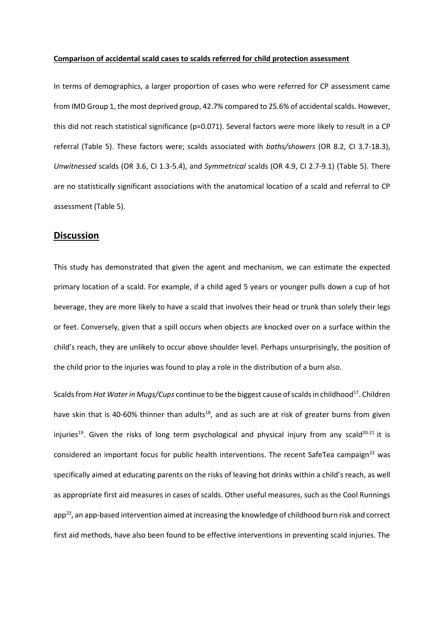#### **Comparison of accidental scald cases to scalds referred for child protection assessment**

In terms of demographics, a larger proportion of cases who were referred for CP assessment came from IMD Group 1, the most deprived group, 42.7% compared to 25.6% of accidental scalds. However, this did not reach statistical significance (p=0.071). Several factors were more likely to result in a CP referral (Table 5). These factors were; scalds associated with *baths/showers* (OR 8.2, CI 3.7-18.3), *Unwitnessed* scalds (OR 3.6, CI 1.3-5.4), and *Symmetrical* scalds (OR 4.9, CI 2.7-9.1) (Table 5). There are no statistically significant associations with the anatomical location of a scald and referral to CP assessment (Table 5).

## **Discussion**

This study has demonstrated that given the agent and mechanism, we can estimate the expected primary location of a scald. For example, if a child aged 5 years or younger pulls down a cup of hot beverage, they are more likely to have a scald that involves their head or trunk than solely their legs or feet. Conversely, given that a spill occurs when objects are knocked over on a surface within the child's reach, they are unlikely to occur above shoulder level. Perhaps unsurprisingly, the position of the child prior to the injuries was found to play a role in the distribution of a burn also.

Scalds from *Hot Water in Mugs/Cups* continue to be the biggest cause of scalds in childhood<sup>17</sup>. Children have skin that is 40-60% thinner than adults<sup>18</sup>, and as such are at risk of greater burns from given injuries<sup>19</sup>. Given the risks of long term psychological and physical injury from any scald<sup>20-21</sup> it is considered an important focus for public health interventions. The recent SafeTea campaign<sup>22</sup> was specifically aimed at educating parents on the risks of leaving hot drinks within a child's reach, as well as appropriate first aid measures in cases of scalds. Other useful measures, such as the Cool Runnings app<sup>23</sup>, an app-based intervention aimed at increasing the knowledge of childhood burn risk and correct first aid methods, have also been found to be effective interventions in preventing scald injuries. The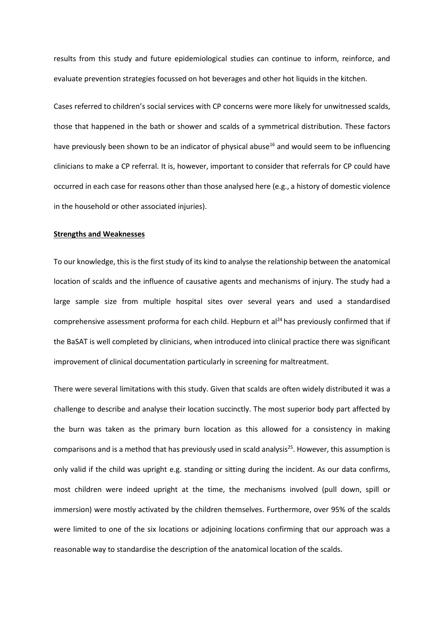results from this study and future epidemiological studies can continue to inform, reinforce, and evaluate prevention strategies focussed on hot beverages and other hot liquids in the kitchen.

Cases referred to children's social services with CP concerns were more likely for unwitnessed scalds, those that happened in the bath or shower and scalds of a symmetrical distribution. These factors have previously been shown to be an indicator of physical abuse<sup>16</sup> and would seem to be influencing clinicians to make a CP referral. It is, however, important to consider that referrals for CP could have occurred in each case for reasons other than those analysed here (e.g., a history of domestic violence in the household or other associated injuries).

#### **Strengths and Weaknesses**

To our knowledge, this is the first study of its kind to analyse the relationship between the anatomical location of scalds and the influence of causative agents and mechanisms of injury. The study had a large sample size from multiple hospital sites over several years and used a standardised comprehensive assessment proforma for each child. Hepburn et al $^{24}$  has previously confirmed that if the BaSAT is well completed by clinicians, when introduced into clinical practice there was significant improvement of clinical documentation particularly in screening for maltreatment.

There were several limitations with this study. Given that scalds are often widely distributed it was a challenge to describe and analyse their location succinctly. The most superior body part affected by the burn was taken as the primary burn location as this allowed for a consistency in making comparisons and is a method that has previously used in scald analysis<sup>25</sup>. However, this assumption is only valid if the child was upright e.g. standing or sitting during the incident. As our data confirms, most children were indeed upright at the time, the mechanisms involved (pull down, spill or immersion) were mostly activated by the children themselves. Furthermore, over 95% of the scalds were limited to one of the six locations or adjoining locations confirming that our approach was a reasonable way to standardise the description of the anatomical location of the scalds.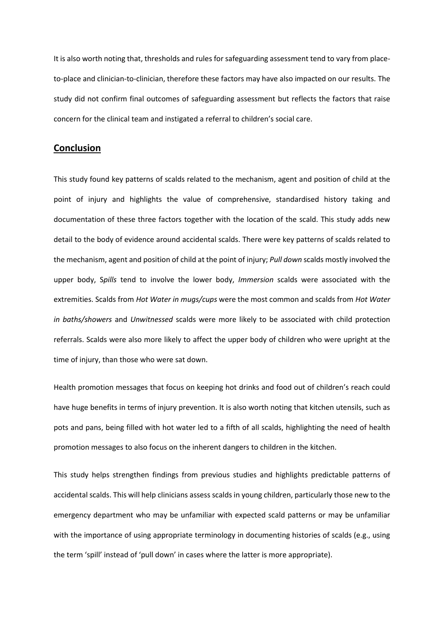It is also worth noting that, thresholds and rules for safeguarding assessment tend to vary from placeto-place and clinician-to-clinician, therefore these factors may have also impacted on our results. The study did not confirm final outcomes of safeguarding assessment but reflects the factors that raise concern for the clinical team and instigated a referral to children's social care.

## **Conclusion**

This study found key patterns of scalds related to the mechanism, agent and position of child at the point of injury and highlights the value of comprehensive, standardised history taking and documentation of these three factors together with the location of the scald. This study adds new detail to the body of evidence around accidental scalds. There were key patterns of scalds related to the mechanism, agent and position of child at the point of injury; *Pull down* scalds mostly involved the upper body, S*pills* tend to involve the lower body, *Immersion* scalds were associated with the extremities. Scalds from *Hot Water in mugs/cups* were the most common and scalds from *Hot Water in baths/showers* and *Unwitnessed* scalds were more likely to be associated with child protection referrals. Scalds were also more likely to affect the upper body of children who were upright at the time of injury, than those who were sat down.

Health promotion messages that focus on keeping hot drinks and food out of children's reach could have huge benefits in terms of injury prevention. It is also worth noting that kitchen utensils, such as pots and pans, being filled with hot water led to a fifth of all scalds, highlighting the need of health promotion messages to also focus on the inherent dangers to children in the kitchen.

This study helps strengthen findings from previous studies and highlights predictable patterns of accidental scalds. This will help clinicians assess scalds in young children, particularly those new to the emergency department who may be unfamiliar with expected scald patterns or may be unfamiliar with the importance of using appropriate terminology in documenting histories of scalds (e.g., using the term 'spill' instead of 'pull down' in cases where the latter is more appropriate).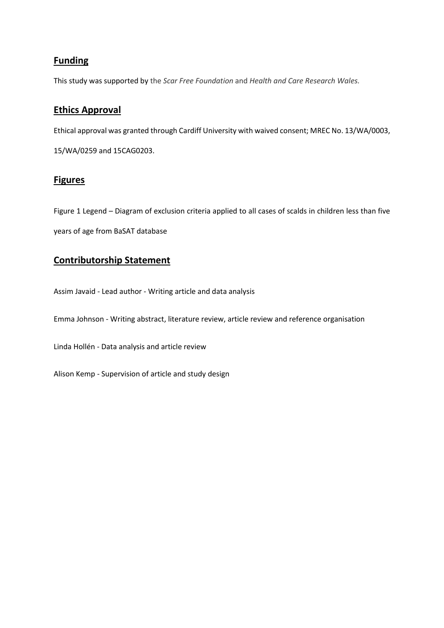# **Funding**

This study was supported by the *Scar Free Foundation* and *Health and Care Research Wales.*

# **Ethics Approval**

Ethical approval was granted through Cardiff University with waived consent; MREC No. 13/WA/0003,

15/WA/0259 and 15CAG0203.

## **Figures**

Figure 1 Legend – Diagram of exclusion criteria applied to all cases of scalds in children less than five years of age from BaSAT database

# **Contributorship Statement**

Assim Javaid - Lead author - Writing article and data analysis

Emma Johnson - Writing abstract, literature review, article review and reference organisation

Linda Hollén - Data analysis and article review

Alison Kemp - Supervision of article and study design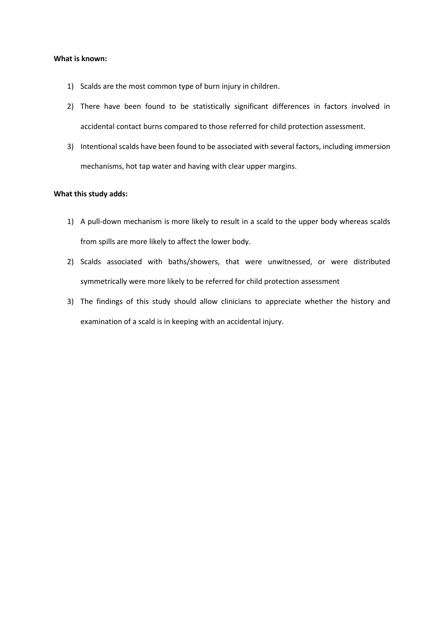#### **What is known:**

- 1) Scalds are the most common type of burn injury in children.
- 2) There have been found to be statistically significant differences in factors involved in accidental contact burns compared to those referred for child protection assessment.
- 3) Intentional scalds have been found to be associated with several factors, including immersion mechanisms, hot tap water and having with clear upper margins.

### **What this study adds:**

- 1) A pull-down mechanism is more likely to result in a scald to the upper body whereas scalds from spills are more likely to affect the lower body.
- 2) Scalds associated with baths/showers, that were unwitnessed, or were distributed symmetrically were more likely to be referred for child protection assessment
- 3) The findings of this study should allow clinicians to appreciate whether the history and examination of a scald is in keeping with an accidental injury.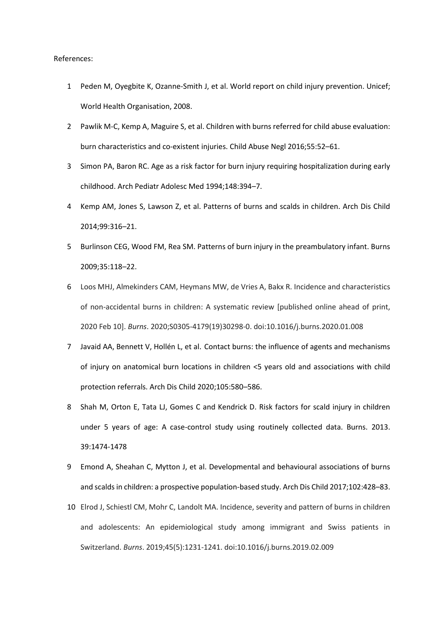#### References:

- 1 Peden M, Oyegbite K, Ozanne-Smith J, et al. World report on child injury prevention. Unicef; World Health Organisation, 2008.
- 2 Pawlik M-C, Kemp A, Maguire S, et al. Children with burns referred for child abuse evaluation: burn characteristics and co-existent injuries. Child Abuse Negl 2016;55:52–61.
- 3 Simon PA, Baron RC. Age as a risk factor for burn injury requiring hospitalization during early childhood. Arch Pediatr Adolesc Med 1994;148:394–7.
- 4 Kemp AM, Jones S, Lawson Z, et al. Patterns of burns and scalds in children. Arch Dis Child 2014;99:316–21.
- 5 Burlinson CEG, Wood FM, Rea SM. Patterns of burn injury in the preambulatory infant. Burns 2009;35:118–22.
- 6 Loos MHJ, Almekinders CAM, Heymans MW, de Vries A, Bakx R. Incidence and characteristics of non-accidental burns in children: A systematic review [published online ahead of print, 2020 Feb 10]. *Burns*. 2020;S0305-4179(19)30298-0. doi:10.1016/j.burns.2020.01.008
- 7 Javaid AA, Bennett V, Hollén L, et al. Contact burns: the influence of agents and mechanisms of injury on anatomical burn locations in children <5 years old and associations with child protection referrals. Arch Dis Child 2020;105:580–586.
- 8 Shah M, Orton E, Tata LJ, Gomes C and Kendrick D. Risk factors for scald injury in children under 5 years of age: A case-control study using routinely collected data. Burns. 2013. 39:1474-1478
- 9 Emond A, Sheahan C, Mytton J, et al. Developmental and behavioural associations of burns and scalds in children: a prospective population-based study. Arch Dis Child 2017;102:428–83.
- 10 Elrod J, Schiestl CM, Mohr C, Landolt MA. Incidence, severity and pattern of burns in children and adolescents: An epidemiological study among immigrant and Swiss patients in Switzerland. *Burns*. 2019;45(5):1231-1241. doi:10.1016/j.burns.2019.02.009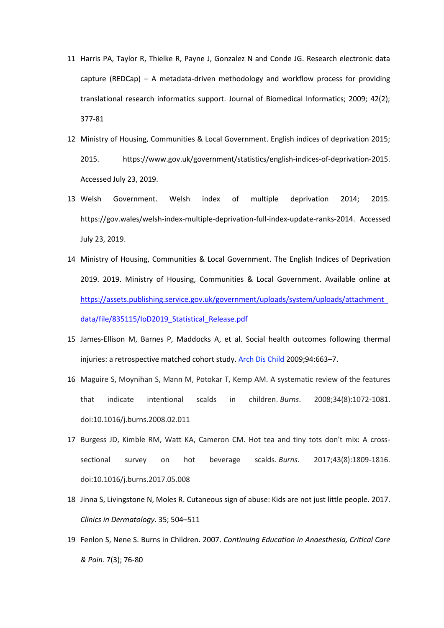- 11 Harris PA, Taylor R, Thielke R, Payne J, Gonzalez N and Conde JG. Research electronic data capture (REDCap) – A metadata-driven methodology and workflow process for providing translational research informatics support. Journal of Biomedical Informatics; 2009; 42(2); 377-81
- 12 Ministry of Housing, Communities & Local Government. English indices of deprivation 2015; 2015. https://www.gov.uk/government/statistics/english-indices-of-deprivation-2015. Accessed July 23, 2019.
- 13 Welsh Government. Welsh index of multiple deprivation 2014; 2015. https://gov.wales/welsh-index-multiple-deprivation-full-index-update-ranks-2014. Accessed July 23, 2019.
- 14 Ministry of Housing, Communities & Local Government. The English Indices of Deprivation 2019. 2019. Ministry of Housing, Communities & Local Government. Available online at [https://assets.publishing.service.gov.uk/government/uploads/system/uploads/attachment\\_](https://assets.publishing.service.gov.uk/government/uploads/system/uploads/attachment_data/file/835115/IoD2019_Statistical_Release.pdf) [data/file/835115/IoD2019\\_Statistical\\_Release.pdf](https://assets.publishing.service.gov.uk/government/uploads/system/uploads/attachment_data/file/835115/IoD2019_Statistical_Release.pdf)
- 15 James-Ellison M, Barnes P, Maddocks A, et al. Social health outcomes following thermal injuries: a retrospective matched cohort study. Arch Dis Child 2009;94:663–7.
- 16 Maguire S, Moynihan S, Mann M, Potokar T, Kemp AM. A systematic review of the features that indicate intentional scalds in children. *Burns*. 2008;34(8):1072-1081. doi:10.1016/j.burns.2008.02.011
- 17 Burgess JD, Kimble RM, Watt KA, Cameron CM. Hot tea and tiny tots don't mix: A crosssectional survey on hot beverage scalds. *Burns*. 2017;43(8):1809-1816. doi:10.1016/j.burns.2017.05.008
- 18 Jinna S, Livingstone N, Moles R. Cutaneous sign of abuse: Kids are not just little people. 2017. *Clinics in Dermatology*. 35; 504–511
- 19 Fenlon S, Nene S. Burns in Children. 2007. *Continuing Education in Anaesthesia, Critical Care & Pain.* 7(3); 76-80